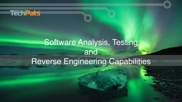

# Software Analysis, Testing and Reverse Engineering Capabilities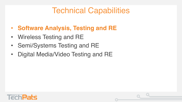# Technical Capabilities

- **Software Analysis, Testing and RE**
- Wireless Testing and RE
- Semi/Systems Testing and RE
- Digital Media/Video Testing and RE

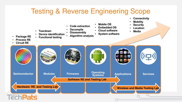### Testing & Reverse Engineering Scope

- **Connectivity**
- **Mobility**
- **Security**
- **Location**
- **Media**
- **Code extraction**
	- **Decompile**
	- **Disassembly**
- **Device identification**
- **Functional testing**

• **Teardown**

- **Package RE** • **Process RE**
- **Circuit RE**
- **Algorithm analysis**
- **System software**

• **Mobile OS**

• **Embedded OS** • **Cloud software**

SIERA **Semiconductor Modules Firmware Operating C Systems Systems Applications Services Software RE and Testing Lab Hardware RE and Testing Lab Hardware RE and Testing Lab Hardware RE and Testing Lab**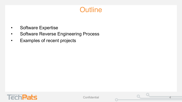### **Outline**

- Software Expertise
- Software Reverse Engineering Process
- Examples of recent projects



**Confidential** 

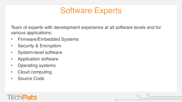### Software Experts

Team of experts with development experience at all software levels and for various applications:

- Firmware/Embedded Systems
- Security & Encryption
- System-level software
- Application software
- Operating systems
- Cloud computing
- Source Code

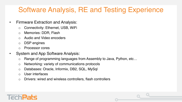### Software Analysis, RE and Testing Experience

- Firmware Extraction and Analysis:
	- o Connectivity: Ethernet, USB, WiFi
	- o Memories: DDR, Flash
	- o Audio and Video encoders
	- o DSP engines
	- Processor cores
- System and App Software Analysis:
	- o Range of programming languages from Assembly to Java, Python, etc…
	- o Networking: variety of communications protocols
	- o Databases: Oracle, Informix, DB2, SQL, MySql
	- o User interfaces
	- o Drivers: wired and wireless controllers, flash controllers

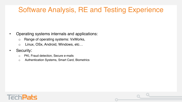### Software Analysis, RE and Testing Experience

- Operating systems internals and applications:
	- o Range of operating systems: VxWorks,
	- o Linux, OSx, Android, Windows, etc…
- Security:
	- o PKI, Fraud detection, Secure e-mails
	- o Authentication Systems, Smart Card, Biometrics

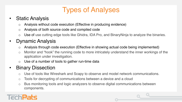### Types of Analyses

#### • Static Analysis

- o Analysis without code execution (Effective in producing evidence)
- o Analysis of both source code and compiled code
- o Use of use cutting edge tools like Ghidra, IDA Pro, and BinaryNinja to analyze the binaries.

#### • Dynamic Analysis

- o Analysis through code execution (Effective in showing actual code being implemented)
- o Monitor and "hook" the running code to more intricately understand the inner workings of the application under investigation.
- Use of a number of tools to gather run-time data

### • Binary Dissection

- o Use of tools like Wireshark and Scapy to observe and model network communications.
- o Tools for decrypting of communications between a device and a cloud
- o Bus monitoring tools and logic analyzers to observe digital communications between components.

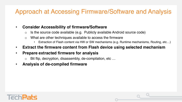### Approach at Accessing Firmware/Software and Analysis

#### • **Consider Accessibility of firmware/Software**

- $\circ$  Is the source code available (e.g. Publicly available Android source code)
- o What are other techniques available to access the firmware
	- Extraction of Flash content via HW or SW mechanisms (e.g. Runtime mechanisms, Routing, etc…)
- **Extract the firmware content from Flash device using selected mechanism**
- **Prepare extracted firmware for analysis** 
	- o Bit flip, decryption, disassembly, de-compilation, etc …
- **Analysis of de-compiled firmware**

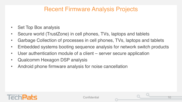### Recent Firmware Analysis Projects

- Set Top Box analysis
- Secure world (TrustZone) in cell phones, TVs, laptops and tablets
- Garbage Collection of processes in cell phones, TVs, laptops and tablets
- Embedded systems booting sequence analysis for network switch products
- User authentication module of a client server secure application
- Qualcomm Hexagon DSP analysis
- Android phone firmware analysis for noise cancellation

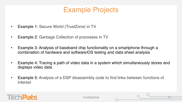### Example Projects

- Example 1: Secure World (TrustZone) in TV
- Example 2: Garbage Collection of processes in TV
- Example 3: Analysis of baseband chip functionality on a smartphone through a combination of hardware and software/OS testing and data sheet analysis
- Example 4: Tracing a path of video data in a system which simultaneously stores and displays video data
- Example 5: Analysis of a DSP disassembly code to find links between functions of interest